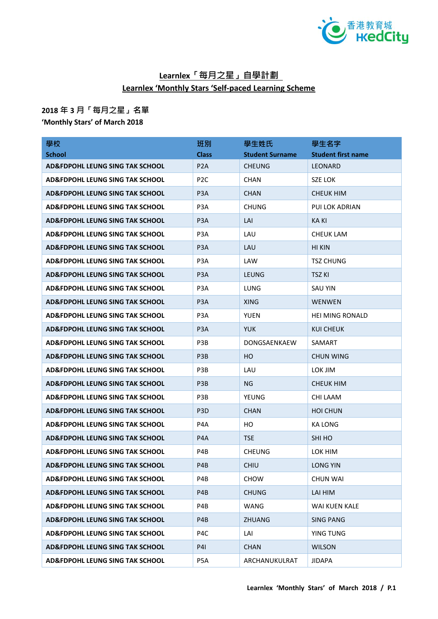

## **Learnlex「每月之星」自學計劃 Learnlex 'Monthly Stars 'Self-paced Learning Scheme**

## **2018 年 3 月「每月之星」名單**

**'Monthly Stars' of March 2018**

| 學校                                         | 班別               | 學生姓氏                   | 學生名字                      |
|--------------------------------------------|------------------|------------------------|---------------------------|
| <b>School</b>                              | <b>Class</b>     | <b>Student Surname</b> | <b>Student first name</b> |
| AD&FDPOHL LEUNG SING TAK SCHOOL            | P <sub>2</sub> A | <b>CHEUNG</b>          | <b>LEONARD</b>            |
| <b>AD&amp;FDPOHL LEUNG SING TAK SCHOOL</b> | P <sub>2</sub> C | <b>CHAN</b>            | SZE LOK                   |
| <b>AD&amp;FDPOHL LEUNG SING TAK SCHOOL</b> | P <sub>3</sub> A | <b>CHAN</b>            | CHEUK HIM                 |
| <b>AD&amp;FDPOHL LEUNG SING TAK SCHOOL</b> | P <sub>3</sub> A | <b>CHUNG</b>           | PUI LOK ADRIAN            |
| AD&FDPOHL LEUNG SING TAK SCHOOL            | P <sub>3</sub> A | LAI                    | KA KI                     |
| <b>AD&amp;FDPOHL LEUNG SING TAK SCHOOL</b> | P <sub>3</sub> A | LAU                    | <b>CHEUK LAM</b>          |
| AD&FDPOHL LEUNG SING TAK SCHOOL            | P <sub>3</sub> A | LAU                    | HI KIN                    |
| <b>AD&amp;FDPOHL LEUNG SING TAK SCHOOL</b> | P <sub>3</sub> A | LAW                    | TSZ CHUNG                 |
| AD&FDPOHL LEUNG SING TAK SCHOOL            | P <sub>3</sub> A | <b>LEUNG</b>           | <b>TSZ KI</b>             |
| AD&FDPOHL LEUNG SING TAK SCHOOL            | P <sub>3</sub> A | LUNG                   | <b>SAU YIN</b>            |
| <b>AD&amp;FDPOHL LEUNG SING TAK SCHOOL</b> | P <sub>3</sub> A | <b>XING</b>            | <b>WENWEN</b>             |
| AD&FDPOHL LEUNG SING TAK SCHOOL            | P <sub>3</sub> A | <b>YUEN</b>            | <b>HEI MING RONALD</b>    |
| AD&FDPOHL LEUNG SING TAK SCHOOL            | P <sub>3</sub> A | <b>YUK</b>             | KUI CHEUK                 |
| AD&FDPOHL LEUNG SING TAK SCHOOL            | P <sub>3</sub> B | DONGSAENKAEW           | SAMART                    |
| AD&FDPOHL LEUNG SING TAK SCHOOL            | P <sub>3</sub> B | <b>HO</b>              | CHUN WING                 |
| <b>AD&amp;FDPOHL LEUNG SING TAK SCHOOL</b> | P <sub>3</sub> B | LAU                    | LOK JIM                   |
| AD&FDPOHL LEUNG SING TAK SCHOOL            | P <sub>3</sub> B | NG.                    | <b>CHEUK HIM</b>          |
| AD&FDPOHL LEUNG SING TAK SCHOOL            | P <sub>3</sub> B | YEUNG                  | CHI LAAM                  |
| <b>AD&amp;FDPOHL LEUNG SING TAK SCHOOL</b> | P <sub>3</sub> D | <b>CHAN</b>            | <b>HOI CHUN</b>           |
| AD&FDPOHL LEUNG SING TAK SCHOOL            | P4A              | HO.                    | KA LONG                   |
| <b>AD&amp;FDPOHL LEUNG SING TAK SCHOOL</b> | P <sub>4</sub> A | <b>TSE</b>             | SHI HO                    |
| <b>AD&amp;FDPOHL LEUNG SING TAK SCHOOL</b> | P4B              | <b>CHEUNG</b>          | LOK HIM                   |
| <b>AD&amp;FDPOHL LEUNG SING TAK SCHOOL</b> | P4B              | <b>CHIU</b>            | <b>LONG YIN</b>           |
| <b>AD&amp;FDPOHL LEUNG SING TAK SCHOOL</b> | P4B              | <b>CHOW</b>            | <b>CHUN WAI</b>           |
| <b>AD&amp;FDPOHL LEUNG SING TAK SCHOOL</b> | P4B              | <b>CHUNG</b>           | LAI HIM                   |
| <b>AD&amp;FDPOHL LEUNG SING TAK SCHOOL</b> | P4B              | <b>WANG</b>            | WAI KUEN KALE             |
| <b>AD&amp;FDPOHL LEUNG SING TAK SCHOOL</b> | P4B              | <b>ZHUANG</b>          | <b>SING PANG</b>          |
| AD&FDPOHL LEUNG SING TAK SCHOOL            | P <sub>4</sub> C | LAI                    | YING TUNG                 |
| <b>AD&amp;FDPOHL LEUNG SING TAK SCHOOL</b> | <b>P41</b>       | <b>CHAN</b>            | <b>WILSON</b>             |
| <b>AD&amp;FDPOHL LEUNG SING TAK SCHOOL</b> | P5A              | ARCHANUKULRAT          | <b>JIDAPA</b>             |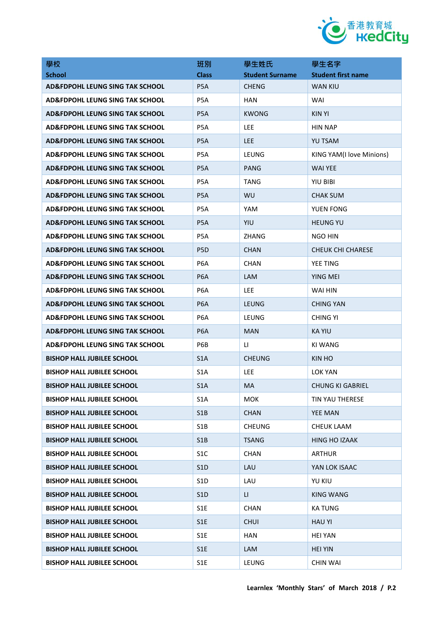

| 學校                                         | 班別               | 學生姓氏                   | 學生名字                      |
|--------------------------------------------|------------------|------------------------|---------------------------|
| <b>School</b>                              | <b>Class</b>     | <b>Student Surname</b> | <b>Student first name</b> |
| <b>AD&amp;FDPOHL LEUNG SING TAK SCHOOL</b> | P <sub>5</sub> A | <b>CHENG</b>           | <b>WAN KIU</b>            |
| AD&FDPOHL LEUNG SING TAK SCHOOL            | P5A              | <b>HAN</b>             | WAI                       |
| AD&FDPOHL LEUNG SING TAK SCHOOL            | P <sub>5</sub> A | <b>KWONG</b>           | <b>KIN YI</b>             |
| AD&FDPOHL LEUNG SING TAK SCHOOL            | P5A              | <b>LEE</b>             | <b>HIN NAP</b>            |
| AD&FDPOHL LEUNG SING TAK SCHOOL            | P <sub>5</sub> A | <b>LEE</b>             | <b>YU TSAM</b>            |
| <b>AD&amp;FDPOHL LEUNG SING TAK SCHOOL</b> | P <sub>5</sub> A | LEUNG                  | KING YAM(I love Minions)  |
| AD&FDPOHL LEUNG SING TAK SCHOOL            | P <sub>5</sub> A | PANG                   | <b>WAI YEE</b>            |
| AD&FDPOHL LEUNG SING TAK SCHOOL            | P <sub>5</sub> A | <b>TANG</b>            | YIU BIBI                  |
| AD&FDPOHL LEUNG SING TAK SCHOOL            | P <sub>5</sub> A | <b>WU</b>              | <b>CHAK SUM</b>           |
| <b>AD&amp;FDPOHL LEUNG SING TAK SCHOOL</b> | P <sub>5</sub> A | YAM                    | YUEN FONG                 |
| <b>AD&amp;FDPOHL LEUNG SING TAK SCHOOL</b> | P <sub>5</sub> A | YIU                    | <b>HEUNG YU</b>           |
| <b>AD&amp;FDPOHL LEUNG SING TAK SCHOOL</b> | P5A              | <b>ZHANG</b>           | NGO HIN                   |
| AD&FDPOHL LEUNG SING TAK SCHOOL            | P <sub>5</sub> D | <b>CHAN</b>            | <b>CHEUK CHI CHARESE</b>  |
| AD&FDPOHL LEUNG SING TAK SCHOOL            | P <sub>6</sub> A | <b>CHAN</b>            | YEE TING                  |
| AD&FDPOHL LEUNG SING TAK SCHOOL            | P <sub>6</sub> A | <b>LAM</b>             | YING MEI                  |
| AD&FDPOHL LEUNG SING TAK SCHOOL            | P <sub>6</sub> A | <b>LEE</b>             | WAI HIN                   |
| AD&FDPOHL LEUNG SING TAK SCHOOL            | P <sub>6</sub> A | LEUNG                  | <b>CHING YAN</b>          |
| AD&FDPOHL LEUNG SING TAK SCHOOL            | P <sub>6</sub> A | LEUNG                  | CHING YI                  |
| <b>AD&amp;FDPOHL LEUNG SING TAK SCHOOL</b> | P <sub>6</sub> A | <b>MAN</b>             | KA YIU                    |
| AD&FDPOHL LEUNG SING TAK SCHOOL            | P6B              | LI.                    | KI WANG                   |
| <b>BISHOP HALL JUBILEE SCHOOL</b>          | S <sub>1</sub> A | <b>CHEUNG</b>          | KIN HO                    |
| BISHOP HALL JUBILEE SCHOOL                 | S <sub>1</sub> A | <b>LEE</b>             | LOK YAN                   |
| <b>BISHOP HALL JUBILEE SCHOOL</b>          | S1A              | MA                     | <b>CHUNG KI GABRIEL</b>   |
| <b>BISHOP HALL JUBILEE SCHOOL</b>          | S <sub>1</sub> A | <b>MOK</b>             | TIN YAU THERESE           |
| <b>BISHOP HALL JUBILEE SCHOOL</b>          | S1B              | <b>CHAN</b>            | <b>YEE MAN</b>            |
| <b>BISHOP HALL JUBILEE SCHOOL</b>          | S <sub>1</sub> B | <b>CHEUNG</b>          | <b>CHEUK LAAM</b>         |
| <b>BISHOP HALL JUBILEE SCHOOL</b>          | S1B              | <b>TSANG</b>           | <b>HING HO IZAAK</b>      |
| <b>BISHOP HALL JUBILEE SCHOOL</b>          | S <sub>1</sub> C | <b>CHAN</b>            | <b>ARTHUR</b>             |
| <b>BISHOP HALL JUBILEE SCHOOL</b>          | S <sub>1</sub> D | LAU                    | YAN LOK ISAAC             |
| <b>BISHOP HALL JUBILEE SCHOOL</b>          | S <sub>1</sub> D | LAU                    | <b>YU KIU</b>             |
| <b>BISHOP HALL JUBILEE SCHOOL</b>          | S <sub>1</sub> D | LI.                    | <b>KING WANG</b>          |
| <b>BISHOP HALL JUBILEE SCHOOL</b>          | S1E              | <b>CHAN</b>            | <b>KATUNG</b>             |
| <b>BISHOP HALL JUBILEE SCHOOL</b>          | S1E              | <b>CHUI</b>            | <b>HAU YI</b>             |
| <b>BISHOP HALL JUBILEE SCHOOL</b>          | S1E              | <b>HAN</b>             | HEI YAN                   |
| <b>BISHOP HALL JUBILEE SCHOOL</b>          | S1E              | LAM                    | <b>HEI YIN</b>            |
| <b>BISHOP HALL JUBILEE SCHOOL</b>          | S1E              | LEUNG                  | CHIN WAI                  |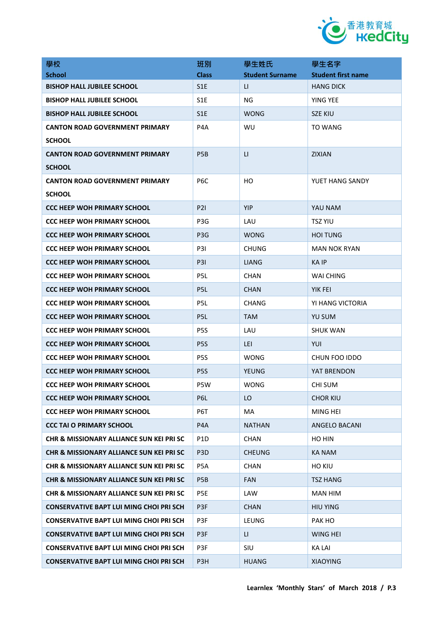

| 學校                                                  | 班別               | 學生姓氏                   | 學生名字                      |
|-----------------------------------------------------|------------------|------------------------|---------------------------|
| <b>School</b>                                       | <b>Class</b>     | <b>Student Surname</b> | <b>Student first name</b> |
| <b>BISHOP HALL JUBILEE SCHOOL</b>                   | S <sub>1</sub> E | LI.                    | <b>HANG DICK</b>          |
| <b>BISHOP HALL JUBILEE SCHOOL</b>                   | S <sub>1</sub> E | ΝG                     | YING YEE                  |
| <b>BISHOP HALL JUBILEE SCHOOL</b>                   | S <sub>1</sub> E | <b>WONG</b>            | <b>SZE KIU</b>            |
| <b>CANTON ROAD GOVERNMENT PRIMARY</b>               | P <sub>4</sub> A | WU                     | TO WANG                   |
| <b>SCHOOL</b>                                       |                  |                        |                           |
| <b>CANTON ROAD GOVERNMENT PRIMARY</b>               | P <sub>5</sub> B | $\mathsf{L}$           | <b>ZIXIAN</b>             |
| <b>SCHOOL</b>                                       |                  |                        |                           |
| <b>CANTON ROAD GOVERNMENT PRIMARY</b>               | P <sub>6</sub> C | HO                     | YUET HANG SANDY           |
| <b>SCHOOL</b>                                       |                  |                        |                           |
| <b>CCC HEEP WOH PRIMARY SCHOOL</b>                  | <b>P21</b>       | <b>YIP</b>             | YAU NAM                   |
| <b>CCC HEEP WOH PRIMARY SCHOOL</b>                  | P <sub>3</sub> G | LAU                    | <b>TSZ YIU</b>            |
| <b>CCC HEEP WOH PRIMARY SCHOOL</b>                  | P <sub>3</sub> G | <b>WONG</b>            | HOI TUNG                  |
| <b>CCC HEEP WOH PRIMARY SCHOOL</b>                  | P3I              | <b>CHUNG</b>           | <b>MAN NOK RYAN</b>       |
| <b>CCC HEEP WOH PRIMARY SCHOOL</b>                  | P3I              | <b>LIANG</b>           | KA IP                     |
| <b>CCC HEEP WOH PRIMARY SCHOOL</b>                  | P <sub>5</sub> L | <b>CHAN</b>            | WAI CHING                 |
| <b>CCC HEEP WOH PRIMARY SCHOOL</b>                  | P <sub>5</sub> L | <b>CHAN</b>            | YIK FEI                   |
| <b>CCC HEEP WOH PRIMARY SCHOOL</b>                  | P5L              | <b>CHANG</b>           | YI HANG VICTORIA          |
| <b>CCC HEEP WOH PRIMARY SCHOOL</b>                  | P <sub>5</sub> L | <b>TAM</b>             | <b>YU SUM</b>             |
| <b>CCC HEEP WOH PRIMARY SCHOOL</b>                  | P <sub>5</sub> S | LAU                    | <b>SHUK WAN</b>           |
| <b>CCC HEEP WOH PRIMARY SCHOOL</b>                  | P <sub>5</sub> S | LEI                    | YUI                       |
| <b>CCC HEEP WOH PRIMARY SCHOOL</b>                  | P <sub>5</sub> S | WONG                   | CHUN FOO IDDO             |
| <b>CCC HEEP WOH PRIMARY SCHOOL</b>                  | P <sub>5</sub> S | YEUNG                  | YAT BRENDON               |
| <b>CCC HEEP WOH PRIMARY SCHOOL</b>                  | P5W              | <b>WONG</b>            | <b>CHI SUM</b>            |
| <b>CCC HEEP WOH PRIMARY SCHOOL</b>                  | P <sub>6</sub> L | LO                     | <b>CHOR KIU</b>           |
| <b>CCC HEEP WOH PRIMARY SCHOOL</b>                  | P6T              | MA                     | MING HEI                  |
| <b>CCC TAI O PRIMARY SCHOOL</b>                     | P4A              | <b>NATHAN</b>          | ANGELO BACANI             |
| <b>CHR &amp; MISSIONARY ALLIANCE SUN KEI PRI SC</b> | P <sub>1</sub> D | <b>CHAN</b>            | HO HIN                    |
| <b>CHR &amp; MISSIONARY ALLIANCE SUN KEI PRI SC</b> | P <sub>3</sub> D | <b>CHEUNG</b>          | <b>KA NAM</b>             |
| <b>CHR &amp; MISSIONARY ALLIANCE SUN KEI PRI SC</b> | P5A              | <b>CHAN</b>            | <b>HO KIU</b>             |
| <b>CHR &amp; MISSIONARY ALLIANCE SUN KEI PRI SC</b> | P <sub>5</sub> B | <b>FAN</b>             | TSZ HANG                  |
| <b>CHR &amp; MISSIONARY ALLIANCE SUN KEI PRI SC</b> | P5E              | LAW                    | <b>MAN HIM</b>            |
| <b>CONSERVATIVE BAPT LUI MING CHOI PRI SCH</b>      | P3F              | <b>CHAN</b>            | <b>HIU YING</b>           |
| <b>CONSERVATIVE BAPT LUI MING CHOI PRI SCH</b>      | P3F              | LEUNG                  | PAK HO                    |
| <b>CONSERVATIVE BAPT LUI MING CHOI PRI SCH</b>      | P3F              | LI.                    | <b>WING HEI</b>           |
| <b>CONSERVATIVE BAPT LUI MING CHOI PRI SCH</b>      | P3F              | <b>SIU</b>             | <b>KA LAI</b>             |
| <b>CONSERVATIVE BAPT LUI MING CHOI PRI SCH</b>      | P3H              | <b>HUANG</b>           | <b>XIAOYING</b>           |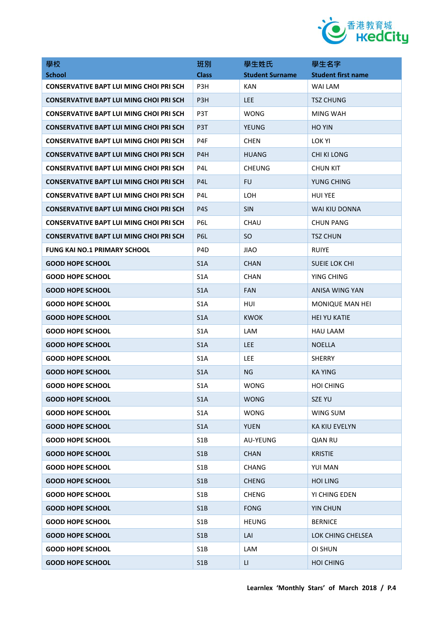

| 學校                                             | 班別               | 學生姓氏                   | 學生名字                      |
|------------------------------------------------|------------------|------------------------|---------------------------|
| <b>School</b>                                  | <b>Class</b>     | <b>Student Surname</b> | <b>Student first name</b> |
| <b>CONSERVATIVE BAPT LUI MING CHOI PRI SCH</b> | P3H              | <b>KAN</b>             | WAI LAM                   |
| <b>CONSERVATIVE BAPT LUI MING CHOI PRI SCH</b> | P <sub>3</sub> H | LEE.                   | <b>TSZ CHUNG</b>          |
| <b>CONSERVATIVE BAPT LUI MING CHOI PRI SCH</b> | P3T              | <b>WONG</b>            | MING WAH                  |
| <b>CONSERVATIVE BAPT LUI MING CHOI PRI SCH</b> | P <sub>3</sub> T | <b>YEUNG</b>           | <b>HO YIN</b>             |
| <b>CONSERVATIVE BAPT LUI MING CHOI PRI SCH</b> | P4F              | <b>CHEN</b>            | LOK YI                    |
| <b>CONSERVATIVE BAPT LUI MING CHOI PRI SCH</b> | P4H              | <b>HUANG</b>           | <b>CHI KI LONG</b>        |
| <b>CONSERVATIVE BAPT LUI MING CHOI PRI SCH</b> | P4L              | <b>CHEUNG</b>          | <b>CHUN KIT</b>           |
| <b>CONSERVATIVE BAPT LUI MING CHOI PRI SCH</b> | P <sub>4</sub> L | <b>FU</b>              | YUNG CHING                |
| <b>CONSERVATIVE BAPT LUI MING CHOI PRI SCH</b> | P4L              | <b>LOH</b>             | <b>HUI YEE</b>            |
| <b>CONSERVATIVE BAPT LUI MING CHOI PRI SCH</b> | P <sub>4</sub> S | <b>SIN</b>             | WAI KIU DONNA             |
| <b>CONSERVATIVE BAPT LUI MING CHOI PRI SCH</b> | P6L              | CHAU                   | <b>CHUN PANG</b>          |
| <b>CONSERVATIVE BAPT LUI MING CHOI PRI SCH</b> | P6L              | <sub>SO</sub>          | <b>TSZ CHUN</b>           |
| <b>FUNG KAI NO.1 PRIMARY SCHOOL</b>            | P <sub>4</sub> D | <b>JIAO</b>            | <b>RUIYE</b>              |
| <b>GOOD HOPE SCHOOL</b>                        | S <sub>1</sub> A | <b>CHAN</b>            | <b>SUEIE LOK CHI</b>      |
| <b>GOOD HOPE SCHOOL</b>                        | S <sub>1</sub> A | <b>CHAN</b>            | YING CHING                |
| <b>GOOD HOPE SCHOOL</b>                        | S <sub>1</sub> A | <b>FAN</b>             | ANISA WING YAN            |
| <b>GOOD HOPE SCHOOL</b>                        | S <sub>1</sub> A | HUI                    | MONIQUE MAN HEI           |
| <b>GOOD HOPE SCHOOL</b>                        | S <sub>1</sub> A | KWOK                   | <b>HEI YU KATIE</b>       |
| <b>GOOD HOPE SCHOOL</b>                        | S <sub>1</sub> A | LAM                    | <b>HAU LAAM</b>           |
| <b>GOOD HOPE SCHOOL</b>                        | S <sub>1</sub> A | <b>LEE</b>             | <b>NOELLA</b>             |
| <b>GOOD HOPE SCHOOL</b>                        | S <sub>1</sub> A | <b>LEE</b>             | <b>SHERRY</b>             |
| <b>GOOD HOPE SCHOOL</b>                        | S <sub>1</sub> A | ΝG                     | <b>KA YING</b>            |
| <b>GOOD HOPE SCHOOL</b>                        | S <sub>1</sub> A | <b>WONG</b>            | <b>HOI CHING</b>          |
| <b>GOOD HOPE SCHOOL</b>                        | S1A              | <b>WONG</b>            | SZE YU                    |
| <b>GOOD HOPE SCHOOL</b>                        | S <sub>1</sub> A | <b>WONG</b>            | WING SUM                  |
| <b>GOOD HOPE SCHOOL</b>                        | S1A              | <b>YUEN</b>            | <b>KA KIU EVELYN</b>      |
| <b>GOOD HOPE SCHOOL</b>                        | S1B              | AU-YEUNG               | <b>QIAN RU</b>            |
| <b>GOOD HOPE SCHOOL</b>                        | S1B              | <b>CHAN</b>            | <b>KRISTIE</b>            |
| <b>GOOD HOPE SCHOOL</b>                        | S <sub>1</sub> B | <b>CHANG</b>           | YUI MAN                   |
| <b>GOOD HOPE SCHOOL</b>                        | S1B              | CHENG                  | <b>HOI LING</b>           |
| <b>GOOD HOPE SCHOOL</b>                        | S <sub>1</sub> B | <b>CHENG</b>           | YI CHING EDEN             |
| <b>GOOD HOPE SCHOOL</b>                        | S1B              | <b>FONG</b>            | <b>YIN CHUN</b>           |
| <b>GOOD HOPE SCHOOL</b>                        | S <sub>1</sub> B | <b>HEUNG</b>           | <b>BERNICE</b>            |
| <b>GOOD HOPE SCHOOL</b>                        | S1B              | LAI                    | LOK CHING CHELSEA         |
| <b>GOOD HOPE SCHOOL</b>                        | S <sub>1</sub> B | LAM                    | OI SHUN                   |
| <b>GOOD HOPE SCHOOL</b>                        | S1B              | LI.                    | <b>HOI CHING</b>          |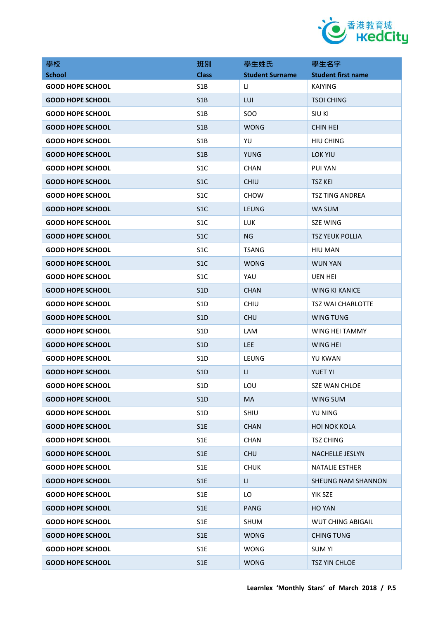

| 學校                      | 班別               | 學生姓氏                   | 學生名字                      |
|-------------------------|------------------|------------------------|---------------------------|
| <b>School</b>           | <b>Class</b>     | <b>Student Surname</b> | <b>Student first name</b> |
| <b>GOOD HOPE SCHOOL</b> | S <sub>1</sub> B | LI.                    | <b>KAIYING</b>            |
| <b>GOOD HOPE SCHOOL</b> | S1B              | LUI                    | <b>TSOI CHING</b>         |
| <b>GOOD HOPE SCHOOL</b> | S <sub>1</sub> B | SO <sub>O</sub>        | <b>SIU KI</b>             |
| <b>GOOD HOPE SCHOOL</b> | S <sub>1</sub> B | <b>WONG</b>            | <b>CHIN HEI</b>           |
| <b>GOOD HOPE SCHOOL</b> | S <sub>1</sub> B | YU                     | <b>HIU CHING</b>          |
| <b>GOOD HOPE SCHOOL</b> | S1B              | <b>YUNG</b>            | <b>LOK YIU</b>            |
| <b>GOOD HOPE SCHOOL</b> | S <sub>1</sub> C | <b>CHAN</b>            | <b>PUI YAN</b>            |
| <b>GOOD HOPE SCHOOL</b> | S <sub>1</sub> C | <b>CHIU</b>            | <b>TSZ KEI</b>            |
| <b>GOOD HOPE SCHOOL</b> | S <sub>1</sub> C | <b>CHOW</b>            | TSZ TING ANDREA           |
| <b>GOOD HOPE SCHOOL</b> | S <sub>1</sub> C | LEUNG                  | WA SUM                    |
| <b>GOOD HOPE SCHOOL</b> | S <sub>1</sub> C | <b>LUK</b>             | <b>SZE WING</b>           |
| <b>GOOD HOPE SCHOOL</b> | S <sub>1</sub> C | NG                     | <b>TSZ YEUK POLLIA</b>    |
| <b>GOOD HOPE SCHOOL</b> | S <sub>1</sub> C | <b>TSANG</b>           | <b>HIU MAN</b>            |
| <b>GOOD HOPE SCHOOL</b> | S <sub>1</sub> C | <b>WONG</b>            | <b>WUN YAN</b>            |
| <b>GOOD HOPE SCHOOL</b> | S <sub>1</sub> C | YAU                    | <b>UEN HEI</b>            |
| <b>GOOD HOPE SCHOOL</b> | S <sub>1</sub> D | <b>CHAN</b>            | <b>WING KI KANICE</b>     |
| <b>GOOD HOPE SCHOOL</b> | S <sub>1</sub> D | <b>CHIU</b>            | <b>TSZ WAI CHARLOTTE</b>  |
| <b>GOOD HOPE SCHOOL</b> | S <sub>1</sub> D | <b>CHU</b>             | <b>WING TUNG</b>          |
| <b>GOOD HOPE SCHOOL</b> | S <sub>1</sub> D | <b>LAM</b>             | WING HEI TAMMY            |
| <b>GOOD HOPE SCHOOL</b> | S <sub>1</sub> D | <b>LEE</b>             | <b>WING HEI</b>           |
| <b>GOOD HOPE SCHOOL</b> | S <sub>1</sub> D | LEUNG                  | YU KWAN                   |
| <b>GOOD HOPE SCHOOL</b> | S <sub>1</sub> D | LI.                    | <b>YUET YI</b>            |
| <b>GOOD HOPE SCHOOL</b> | S <sub>1</sub> D | LOU                    | <b>SZE WAN CHLOE</b>      |
| <b>GOOD HOPE SCHOOL</b> | S <sub>1</sub> D | <b>MA</b>              | WING SUM                  |
| <b>GOOD HOPE SCHOOL</b> | S <sub>1</sub> D | SHIU                   | <b>YU NING</b>            |
| <b>GOOD HOPE SCHOOL</b> | S1E              | <b>CHAN</b>            | <b>HOI NOK KOLA</b>       |
| <b>GOOD HOPE SCHOOL</b> | S1E              | <b>CHAN</b>            | <b>TSZ CHING</b>          |
| <b>GOOD HOPE SCHOOL</b> | S1E              | <b>CHU</b>             | <b>NACHELLE JESLYN</b>    |
| <b>GOOD HOPE SCHOOL</b> | S <sub>1</sub> E | <b>CHUK</b>            | <b>NATALIE ESTHER</b>     |
| <b>GOOD HOPE SCHOOL</b> | S1E              | LI.                    | <b>SHEUNG NAM SHANNON</b> |
| <b>GOOD HOPE SCHOOL</b> | S <sub>1</sub> E | LO.                    | YIK SZE                   |
| <b>GOOD HOPE SCHOOL</b> | S1E              | <b>PANG</b>            | <b>HO YAN</b>             |
| <b>GOOD HOPE SCHOOL</b> | S <sub>1</sub> E | <b>SHUM</b>            | <b>WUT CHING ABIGAIL</b>  |
| <b>GOOD HOPE SCHOOL</b> | S1E              | <b>WONG</b>            | <b>CHING TUNG</b>         |
| <b>GOOD HOPE SCHOOL</b> | S1E              | <b>WONG</b>            | <b>SUM YI</b>             |
| <b>GOOD HOPE SCHOOL</b> | S1E              | <b>WONG</b>            | TSZ YIN CHLOE             |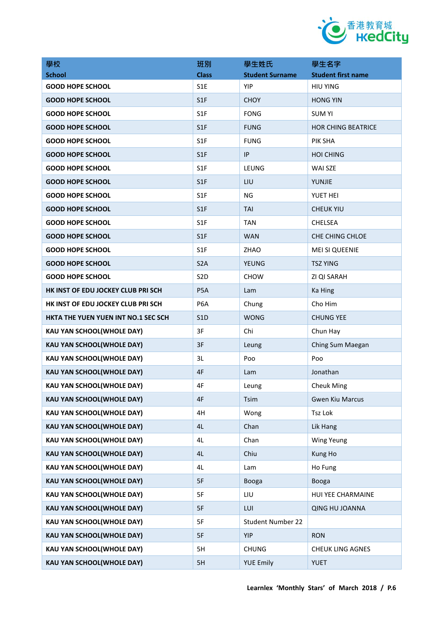

| 學校                                  | 班別               | 學生姓氏                     | 學生名字                      |
|-------------------------------------|------------------|--------------------------|---------------------------|
| <b>School</b>                       | <b>Class</b>     | <b>Student Surname</b>   | <b>Student first name</b> |
| <b>GOOD HOPE SCHOOL</b>             | S <sub>1</sub> E | YIP                      | <b>HIU YING</b>           |
| <b>GOOD HOPE SCHOOL</b>             | S <sub>1</sub> F | <b>CHOY</b>              | <b>HONG YIN</b>           |
| <b>GOOD HOPE SCHOOL</b>             | S <sub>1</sub> F | <b>FONG</b>              | <b>SUM YI</b>             |
| <b>GOOD HOPE SCHOOL</b>             | S <sub>1F</sub>  | <b>FUNG</b>              | <b>HOR CHING BEATRICE</b> |
| <b>GOOD HOPE SCHOOL</b>             | S <sub>1F</sub>  | <b>FUNG</b>              | PIK SHA                   |
| <b>GOOD HOPE SCHOOL</b>             | S <sub>1F</sub>  | IP                       | <b>HOI CHING</b>          |
| <b>GOOD HOPE SCHOOL</b>             | S <sub>1</sub> F | LEUNG                    | WAI SZE                   |
| <b>GOOD HOPE SCHOOL</b>             | S <sub>1F</sub>  | LIU                      | YUNJIE                    |
| <b>GOOD HOPE SCHOOL</b>             | S <sub>1</sub> F | ΝG                       | YUET HEI                  |
| <b>GOOD HOPE SCHOOL</b>             | S1F              | <b>TAI</b>               | <b>CHEUK YIU</b>          |
| <b>GOOD HOPE SCHOOL</b>             | S <sub>1</sub> F | <b>TAN</b>               | <b>CHELSEA</b>            |
| <b>GOOD HOPE SCHOOL</b>             | S1F              | <b>WAN</b>               | <b>CHE CHING CHLOE</b>    |
| <b>GOOD HOPE SCHOOL</b>             | S <sub>1</sub> F | ZHAO                     | <b>MEI SI QUEENIE</b>     |
| <b>GOOD HOPE SCHOOL</b>             | S <sub>2</sub> A | <b>YEUNG</b>             | <b>TSZ YING</b>           |
| <b>GOOD HOPE SCHOOL</b>             | S <sub>2</sub> D | <b>CHOW</b>              | ZI QI SARAH               |
| HK INST OF EDU JOCKEY CLUB PRI SCH  | P <sub>5</sub> A | Lam                      | Ka Hing                   |
| HK INST OF EDU JOCKEY CLUB PRI SCH  | P <sub>6</sub> A | Chung                    | Cho Him                   |
| HKTA THE YUEN YUEN INT NO.1 SEC SCH | S <sub>1</sub> D | <b>WONG</b>              | <b>CHUNG YEE</b>          |
| KAU YAN SCHOOL(WHOLE DAY)           | 3F               | Chi                      | Chun Hay                  |
| <b>KAU YAN SCHOOL(WHOLE DAY)</b>    | 3F               | Leung                    | Ching Sum Maegan          |
| KAU YAN SCHOOL(WHOLE DAY)           | 3L               | Poo                      | Poo                       |
| KAU YAN SCHOOL(WHOLE DAY)           | 4F               | Lam                      | Jonathan                  |
| <b>KAU YAN SCHOOL(WHOLE DAY)</b>    | 4F               | Leung                    | <b>Cheuk Ming</b>         |
| <b>KAU YAN SCHOOL(WHOLE DAY)</b>    | 4F               | Tsim                     | <b>Gwen Kiu Marcus</b>    |
| KAU YAN SCHOOL(WHOLE DAY)           | 4H               | Wong                     | Tsz Lok                   |
| <b>KAU YAN SCHOOL(WHOLE DAY)</b>    | 4L               | Chan                     | Lik Hang                  |
| KAU YAN SCHOOL(WHOLE DAY)           | 4L               | Chan                     | <b>Wing Yeung</b>         |
| <b>KAU YAN SCHOOL(WHOLE DAY)</b>    | 4L               | Chiu                     | Kung Ho                   |
| <b>KAU YAN SCHOOL(WHOLE DAY)</b>    | 4L               | Lam                      | Ho Fung                   |
| <b>KAU YAN SCHOOL(WHOLE DAY)</b>    | 5F               | Booga                    | Booga                     |
| <b>KAU YAN SCHOOL(WHOLE DAY)</b>    | 5F               | LIU                      | HUI YEE CHARMAINE         |
| KAU YAN SCHOOL(WHOLE DAY)           | 5F               | LUI                      | QING HU JOANNA            |
| <b>KAU YAN SCHOOL(WHOLE DAY)</b>    | 5F               | <b>Student Number 22</b> |                           |
| KAU YAN SCHOOL(WHOLE DAY)           | 5F               | <b>YIP</b>               | <b>RON</b>                |
| <b>KAU YAN SCHOOL(WHOLE DAY)</b>    | 5H               | <b>CHUNG</b>             | <b>CHEUK LING AGNES</b>   |
| KAU YAN SCHOOL(WHOLE DAY)           | 5H               | <b>YUE Emily</b>         | <b>YUET</b>               |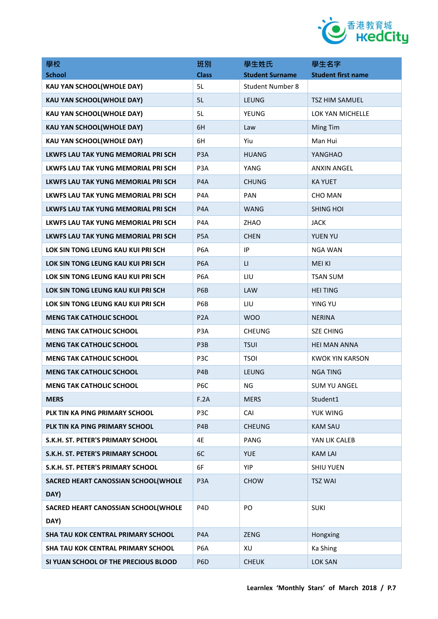

| 學校                                          | 班別               | 學生姓氏                    | 學生名字                      |
|---------------------------------------------|------------------|-------------------------|---------------------------|
| <b>School</b>                               | <b>Class</b>     | <b>Student Surname</b>  | <b>Student first name</b> |
| KAU YAN SCHOOL(WHOLE DAY)                   | 5L               | <b>Student Number 8</b> |                           |
| <b>KAU YAN SCHOOL(WHOLE DAY)</b>            | 5L               | <b>LEUNG</b>            | TSZ HIM SAMUEL            |
| KAU YAN SCHOOL(WHOLE DAY)                   | 5L               | YEUNG                   | LOK YAN MICHELLE          |
| <b>KAU YAN SCHOOL(WHOLE DAY)</b>            | 6H               | Law                     | Ming Tim                  |
| KAU YAN SCHOOL(WHOLE DAY)                   | 6H               | Yiu                     | Man Hui                   |
| LKWFS LAU TAK YUNG MEMORIAL PRI SCH         | P <sub>3</sub> A | <b>HUANG</b>            | YANGHAO                   |
| LKWFS LAU TAK YUNG MEMORIAL PRI SCH         | P <sub>3</sub> A | YANG                    | <b>ANXIN ANGEL</b>        |
| LKWFS LAU TAK YUNG MEMORIAL PRI SCH         | P <sub>4</sub> A | <b>CHUNG</b>            | <b>KA YUET</b>            |
| LKWFS LAU TAK YUNG MEMORIAL PRI SCH         | P4A              | <b>PAN</b>              | <b>CHO MAN</b>            |
| LKWFS LAU TAK YUNG MEMORIAL PRI SCH         | P <sub>4</sub> A | <b>WANG</b>             | <b>SHING HOI</b>          |
| LKWFS LAU TAK YUNG MEMORIAL PRI SCH         | P <sub>4</sub> A | <b>ZHAO</b>             | <b>JACK</b>               |
| LKWFS LAU TAK YUNG MEMORIAL PRI SCH         | P <sub>5</sub> A | <b>CHEN</b>             | YUEN YU                   |
| LOK SIN TONG LEUNG KAU KUI PRI SCH          | P <sub>6</sub> A | IP                      | <b>NGA WAN</b>            |
| LOK SIN TONG LEUNG KAU KUI PRI SCH          | P <sub>6</sub> A | $\mathsf{L}$            | <b>MEI KI</b>             |
| LOK SIN TONG LEUNG KAU KUI PRI SCH          | P <sub>6</sub> A | LIU                     | <b>TSAN SUM</b>           |
| LOK SIN TONG LEUNG KAU KUI PRI SCH          | P <sub>6</sub> B | LAW                     | <b>HEI TING</b>           |
| LOK SIN TONG LEUNG KAU KUI PRI SCH          | P6B              | LIU                     | <b>YING YU</b>            |
| <b>MENG TAK CATHOLIC SCHOOL</b>             | P <sub>2</sub> A | <b>WOO</b>              | <b>NERINA</b>             |
| <b>MENG TAK CATHOLIC SCHOOL</b>             | P <sub>3</sub> A | <b>CHEUNG</b>           | <b>SZE CHING</b>          |
| <b>MENG TAK CATHOLIC SCHOOL</b>             | P <sub>3</sub> B | <b>TSUI</b>             | <b>HEI MAN ANNA</b>       |
| <b>MENG TAK CATHOLIC SCHOOL</b>             | P3C              | <b>TSOI</b>             | <b>KWOK YIN KARSON</b>    |
| <b>MENG TAK CATHOLIC SCHOOL</b>             | P4B              | <b>LEUNG</b>            | <b>NGA TING</b>           |
| <b>MENG TAK CATHOLIC SCHOOL</b>             | P6C              | ΝG                      | <b>SUM YU ANGEL</b>       |
| <b>MERS</b>                                 | F.2A             | <b>MERS</b>             | Student1                  |
| PLK TIN KA PING PRIMARY SCHOOL              | P3C              | CAI                     | YUK WING                  |
| PLK TIN KA PING PRIMARY SCHOOL              | P4B              | <b>CHEUNG</b>           | <b>KAM SAU</b>            |
| S.K.H. ST. PETER'S PRIMARY SCHOOL           | 4E               | PANG                    | YAN LIK CALEB             |
| S.K.H. ST. PETER'S PRIMARY SCHOOL           | 6C               | <b>YUE</b>              | <b>KAM LAI</b>            |
| S.K.H. ST. PETER'S PRIMARY SCHOOL           | 6F               | <b>YIP</b>              | <b>SHIU YUEN</b>          |
| SACRED HEART CANOSSIAN SCHOOL(WHOLE<br>DAY) | P <sub>3</sub> A | <b>CHOW</b>             | <b>TSZ WAI</b>            |
| SACRED HEART CANOSSIAN SCHOOL(WHOLE<br>DAY) | P <sub>4</sub> D | PO                      | <b>SUKI</b>               |
| SHA TAU KOK CENTRAL PRIMARY SCHOOL          | P <sub>4</sub> A | <b>ZENG</b>             | Hongxing                  |
| SHA TAU KOK CENTRAL PRIMARY SCHOOL          | P6A              | XU                      | Ka Shing                  |
| SI YUAN SCHOOL OF THE PRECIOUS BLOOD        | P <sub>6</sub> D | <b>CHEUK</b>            | <b>LOK SAN</b>            |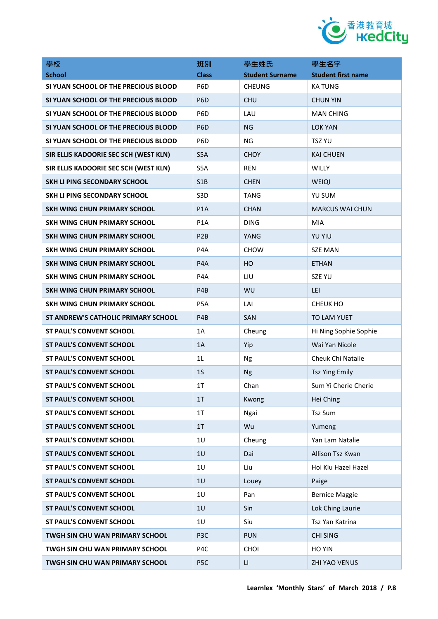

| 學校                                     | 班別               | 學生姓氏                   | 學生名字                      |
|----------------------------------------|------------------|------------------------|---------------------------|
| <b>School</b>                          | <b>Class</b>     | <b>Student Surname</b> | <b>Student first name</b> |
| SI YUAN SCHOOL OF THE PRECIOUS BLOOD   | P <sub>6</sub> D | <b>CHEUNG</b>          | <b>KATUNG</b>             |
| SI YUAN SCHOOL OF THE PRECIOUS BLOOD   | P <sub>6</sub> D | <b>CHU</b>             | <b>CHUN YIN</b>           |
| SI YUAN SCHOOL OF THE PRECIOUS BLOOD   | P <sub>6</sub> D | LAU                    | <b>MAN CHING</b>          |
| SI YUAN SCHOOL OF THE PRECIOUS BLOOD   | P <sub>6</sub> D | NG                     | <b>LOK YAN</b>            |
| SI YUAN SCHOOL OF THE PRECIOUS BLOOD   | P <sub>6</sub> D | NG                     | TSZ YU                    |
| SIR ELLIS KADOORIE SEC SCH (WEST KLN)  | S5A              | <b>CHOY</b>            | <b>KAI CHUEN</b>          |
| SIR ELLIS KADOORIE SEC SCH (WEST KLN)  | S5A              | <b>REN</b>             | WILLY                     |
| <b>SKH LI PING SECONDARY SCHOOL</b>    | S1B              | <b>CHEN</b>            | WEIQI                     |
| SKH LI PING SECONDARY SCHOOL           | S <sub>3</sub> D | <b>TANG</b>            | YU SUM                    |
| <b>SKH WING CHUN PRIMARY SCHOOL</b>    | P <sub>1</sub> A | <b>CHAN</b>            | <b>MARCUS WAI CHUN</b>    |
| SKH WING CHUN PRIMARY SCHOOL           | P <sub>1</sub> A | <b>DING</b>            | MIA                       |
| <b>SKH WING CHUN PRIMARY SCHOOL</b>    | P <sub>2</sub> B | YANG                   | <b>YU YIU</b>             |
| SKH WING CHUN PRIMARY SCHOOL           | P <sub>4</sub> A | <b>CHOW</b>            | <b>SZE MAN</b>            |
| SKH WING CHUN PRIMARY SCHOOL           | P <sub>4</sub> A | HO.                    | <b>ETHAN</b>              |
| SKH WING CHUN PRIMARY SCHOOL           | P <sub>4</sub> A | LIU                    | <b>SZE YU</b>             |
| SKH WING CHUN PRIMARY SCHOOL           | P <sub>4</sub> B | <b>WU</b>              | LEI                       |
| SKH WING CHUN PRIMARY SCHOOL           | P <sub>5</sub> A | LAI                    | CHEUK HO                  |
| ST ANDREW'S CATHOLIC PRIMARY SCHOOL    | P <sub>4</sub> B | SAN                    | <b>TO LAM YUET</b>        |
| <b>ST PAUL'S CONVENT SCHOOL</b>        | 1A               | Cheung                 | Hi Ning Sophie Sophie     |
| <b>ST PAUL'S CONVENT SCHOOL</b>        | 1A               | Yip                    | Wai Yan Nicole            |
| <b>ST PAUL'S CONVENT SCHOOL</b>        | 1 <sub>L</sub>   | Ng                     | Cheuk Chi Natalie         |
| <b>ST PAUL'S CONVENT SCHOOL</b>        | 1 <sub>S</sub>   | <b>Ng</b>              | <b>Tsz Ying Emily</b>     |
| <b>ST PAUL'S CONVENT SCHOOL</b>        | 1T               | Chan                   | Sum Yi Cherie Cherie      |
| <b>ST PAUL'S CONVENT SCHOOL</b>        | 1T               | Kwong                  | Hei Ching                 |
| <b>ST PAUL'S CONVENT SCHOOL</b>        | 1T               | Ngai                   | Tsz Sum                   |
| <b>ST PAUL'S CONVENT SCHOOL</b>        | 1T               | Wu                     | Yumeng                    |
| <b>ST PAUL'S CONVENT SCHOOL</b>        | 1U               | Cheung                 | Yan Lam Natalie           |
| <b>ST PAUL'S CONVENT SCHOOL</b>        | 1U               | Dai                    | Allison Tsz Kwan          |
| <b>ST PAUL'S CONVENT SCHOOL</b>        | 1U               | Liu                    | Hoi Kiu Hazel Hazel       |
| <b>ST PAUL'S CONVENT SCHOOL</b>        | 1U               | Louey                  | Paige                     |
| <b>ST PAUL'S CONVENT SCHOOL</b>        | 1U               | Pan                    | <b>Bernice Maggie</b>     |
| <b>ST PAUL'S CONVENT SCHOOL</b>        | 1U               | Sin                    | Lok Ching Laurie          |
| <b>ST PAUL'S CONVENT SCHOOL</b>        | 1U               | Siu                    | Tsz Yan Katrina           |
| TWGH SIN CHU WAN PRIMARY SCHOOL        | P <sub>3</sub> C | <b>PUN</b>             | <b>CHI SING</b>           |
| <b>TWGH SIN CHU WAN PRIMARY SCHOOL</b> | P4C              | <b>CHOI</b>            | HO YIN                    |
| TWGH SIN CHU WAN PRIMARY SCHOOL        | P <sub>5C</sub>  | $\mathsf{L}\mathsf{L}$ | ZHI YAO VENUS             |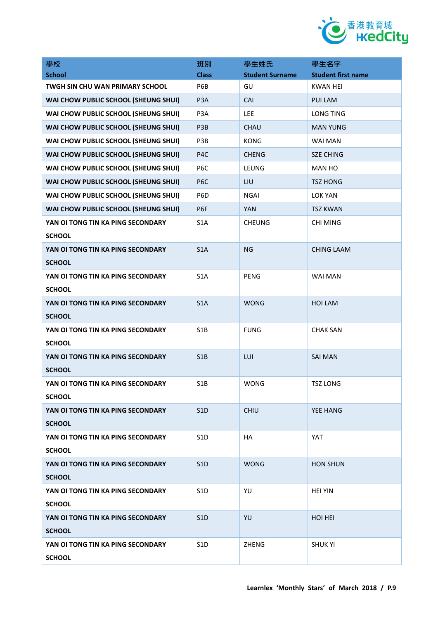

| 學校                                                 | 班別               | 學生姓氏                   | 學生名字                      |
|----------------------------------------------------|------------------|------------------------|---------------------------|
| <b>School</b>                                      | <b>Class</b>     | <b>Student Surname</b> | <b>Student first name</b> |
| <b>TWGH SIN CHU WAN PRIMARY SCHOOL</b>             | P6B              | GU                     | <b>KWAN HEI</b>           |
| WAI CHOW PUBLIC SCHOOL (SHEUNG SHUI)               | P <sub>3</sub> A | CAI                    | PUI LAM                   |
| WAI CHOW PUBLIC SCHOOL (SHEUNG SHUI)               | P <sub>3</sub> A | LEE                    | <b>LONG TING</b>          |
| WAI CHOW PUBLIC SCHOOL (SHEUNG SHUI)               | P3B              | CHAU                   | <b>MAN YUNG</b>           |
| WAI CHOW PUBLIC SCHOOL (SHEUNG SHUI)               | P3B              | <b>KONG</b>            | WAI MAN                   |
| WAI CHOW PUBLIC SCHOOL (SHEUNG SHUI)               | P <sub>4</sub> C | <b>CHENG</b>           | <b>SZE CHING</b>          |
| WAI CHOW PUBLIC SCHOOL (SHEUNG SHUI)               | P <sub>6</sub> C | LEUNG                  | MAN HO                    |
| WAI CHOW PUBLIC SCHOOL (SHEUNG SHUI)               | P <sub>6</sub> C | LIU                    | <b>TSZ HONG</b>           |
| WAI CHOW PUBLIC SCHOOL (SHEUNG SHUI)               | P <sub>6</sub> D | NGAI                   | <b>LOK YAN</b>            |
| WAI CHOW PUBLIC SCHOOL (SHEUNG SHUI)               | P <sub>6F</sub>  | <b>YAN</b>             | <b>TSZ KWAN</b>           |
| YAN OI TONG TIN KA PING SECONDARY<br><b>SCHOOL</b> | S <sub>1</sub> A | <b>CHEUNG</b>          | <b>CHI MING</b>           |
| YAN OI TONG TIN KA PING SECONDARY<br><b>SCHOOL</b> | S <sub>1</sub> A | <b>NG</b>              | <b>CHING LAAM</b>         |
| YAN OI TONG TIN KA PING SECONDARY<br><b>SCHOOL</b> | S <sub>1</sub> A | <b>PENG</b>            | <b>WAI MAN</b>            |
| YAN OI TONG TIN KA PING SECONDARY<br><b>SCHOOL</b> | S1A              | <b>WONG</b>            | <b>HOI LAM</b>            |
| YAN OI TONG TIN KA PING SECONDARY<br><b>SCHOOL</b> | S1B              | <b>FUNG</b>            | <b>CHAK SAN</b>           |
| YAN OI TONG TIN KA PING SECONDARY<br><b>SCHOOL</b> | S1B              | LUI                    | <b>SAI MAN</b>            |
| YAN OI TONG TIN KA PING SECONDARY<br><b>SCHOOL</b> | S <sub>1</sub> B | <b>WONG</b>            | <b>TSZ LONG</b>           |
| YAN OI TONG TIN KA PING SECONDARY<br><b>SCHOOL</b> | S1D              | CHIU                   | YEE HANG                  |
| YAN OI TONG TIN KA PING SECONDARY<br><b>SCHOOL</b> | S <sub>1</sub> D | <b>HA</b>              | YAT                       |
| YAN OI TONG TIN KA PING SECONDARY<br><b>SCHOOL</b> | S <sub>1</sub> D | <b>WONG</b>            | <b>HON SHUN</b>           |
| YAN OI TONG TIN KA PING SECONDARY<br><b>SCHOOL</b> | S <sub>1</sub> D | YU                     | <b>HEI YIN</b>            |
| YAN OI TONG TIN KA PING SECONDARY<br><b>SCHOOL</b> | S1D              | YU                     | <b>HOI HEI</b>            |
| YAN OI TONG TIN KA PING SECONDARY<br><b>SCHOOL</b> | S <sub>1</sub> D | ZHENG                  | <b>SHUK YI</b>            |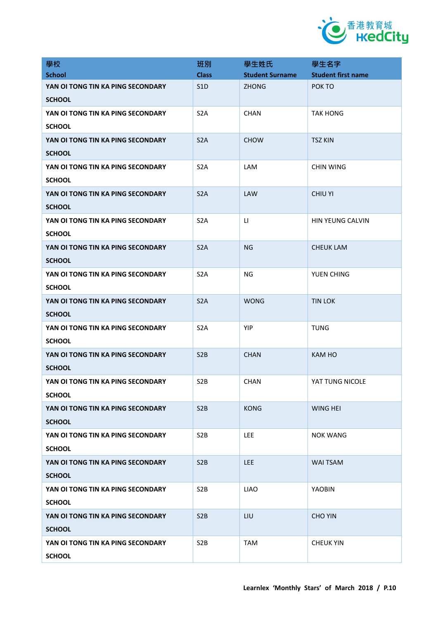

| 學校                                | 班別               | 學生姓氏                   | 學生名字                      |
|-----------------------------------|------------------|------------------------|---------------------------|
| <b>School</b>                     | <b>Class</b>     | <b>Student Surname</b> | <b>Student first name</b> |
| YAN OI TONG TIN KA PING SECONDARY | S <sub>1</sub> D | <b>ZHONG</b>           | POK TO                    |
| <b>SCHOOL</b>                     |                  |                        |                           |
| YAN OI TONG TIN KA PING SECONDARY | S <sub>2</sub> A | <b>CHAN</b>            | <b>TAK HONG</b>           |
| <b>SCHOOL</b>                     |                  |                        |                           |
| YAN OI TONG TIN KA PING SECONDARY | S <sub>2</sub> A | <b>CHOW</b>            | <b>TSZ KIN</b>            |
| <b>SCHOOL</b>                     |                  |                        |                           |
| YAN OI TONG TIN KA PING SECONDARY | S <sub>2</sub> A | LAM                    | <b>CHIN WING</b>          |
| <b>SCHOOL</b>                     |                  |                        |                           |
| YAN OI TONG TIN KA PING SECONDARY | S <sub>2</sub> A | <b>LAW</b>             | <b>CHIU YI</b>            |
| <b>SCHOOL</b>                     |                  |                        |                           |
| YAN OI TONG TIN KA PING SECONDARY | S <sub>2</sub> A | LI                     | HIN YEUNG CALVIN          |
| <b>SCHOOL</b>                     |                  |                        |                           |
| YAN OI TONG TIN KA PING SECONDARY | S <sub>2</sub> A | NG                     | <b>CHEUK LAM</b>          |
| <b>SCHOOL</b>                     |                  |                        |                           |
| YAN OI TONG TIN KA PING SECONDARY | S <sub>2</sub> A | NG.                    | YUEN CHING                |
| <b>SCHOOL</b>                     |                  |                        |                           |
| YAN OI TONG TIN KA PING SECONDARY | S <sub>2</sub> A | <b>WONG</b>            | <b>TIN LOK</b>            |
| <b>SCHOOL</b>                     |                  |                        |                           |
| YAN OI TONG TIN KA PING SECONDARY | S <sub>2</sub> A | YIP                    | <b>TUNG</b>               |
| <b>SCHOOL</b>                     |                  |                        |                           |
| YAN OI TONG TIN KA PING SECONDARY | S <sub>2</sub> B | <b>CHAN</b>            | <b>KAM HO</b>             |
| <b>SCHOOL</b>                     |                  |                        |                           |
| YAN OI TONG TIN KA PING SECONDARY | S <sub>2</sub> B | <b>CHAN</b>            | YAT TUNG NICOLE           |
| <b>SCHOOL</b>                     |                  |                        |                           |
| YAN OI TONG TIN KA PING SECONDARY | S <sub>2</sub> B | <b>KONG</b>            | <b>WING HEI</b>           |
| <b>SCHOOL</b>                     |                  |                        |                           |
| YAN OI TONG TIN KA PING SECONDARY | S <sub>2</sub> B | <b>LEE</b>             | <b>NOK WANG</b>           |
| <b>SCHOOL</b>                     |                  |                        |                           |
| YAN OI TONG TIN KA PING SECONDARY | S <sub>2</sub> B | <b>LEE</b>             | <b>WAI TSAM</b>           |
| <b>SCHOOL</b>                     |                  |                        |                           |
| YAN OI TONG TIN KA PING SECONDARY | S <sub>2</sub> B | <b>LIAO</b>            | <b>YAOBIN</b>             |
| <b>SCHOOL</b>                     |                  |                        |                           |
| YAN OI TONG TIN KA PING SECONDARY | S <sub>2</sub> B | LIU                    | <b>CHO YIN</b>            |
| <b>SCHOOL</b>                     |                  |                        |                           |
| YAN OI TONG TIN KA PING SECONDARY | S <sub>2</sub> B | <b>TAM</b>             | <b>CHEUK YIN</b>          |
| <b>SCHOOL</b>                     |                  |                        |                           |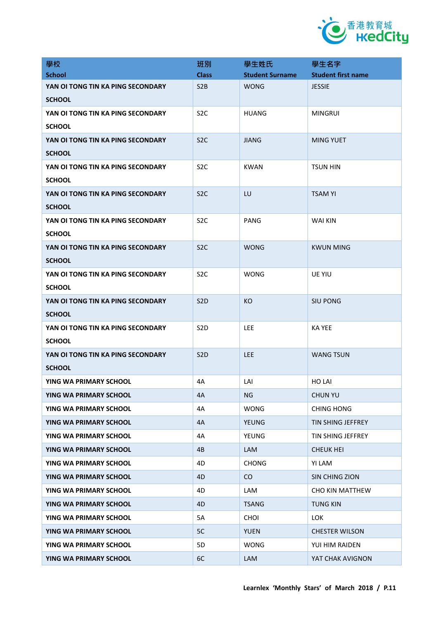

| 學校                                | 班別               | 學生姓氏                   | 學生名字                      |
|-----------------------------------|------------------|------------------------|---------------------------|
| <b>School</b>                     | <b>Class</b>     | <b>Student Surname</b> | <b>Student first name</b> |
| YAN OI TONG TIN KA PING SECONDARY | S2B              | <b>WONG</b>            | <b>JESSIE</b>             |
| <b>SCHOOL</b>                     |                  |                        |                           |
| YAN OI TONG TIN KA PING SECONDARY | S <sub>2</sub> C | <b>HUANG</b>           | <b>MINGRUI</b>            |
| <b>SCHOOL</b>                     |                  |                        |                           |
| YAN OI TONG TIN KA PING SECONDARY | S <sub>2</sub> C | <b>JIANG</b>           | <b>MING YUET</b>          |
| <b>SCHOOL</b>                     |                  |                        |                           |
| YAN OI TONG TIN KA PING SECONDARY | S <sub>2</sub> C | KWAN                   | <b>TSUN HIN</b>           |
| <b>SCHOOL</b>                     |                  |                        |                           |
| YAN OI TONG TIN KA PING SECONDARY | S <sub>2</sub> C | LU                     | <b>TSAM YI</b>            |
| <b>SCHOOL</b>                     |                  |                        |                           |
| YAN OI TONG TIN KA PING SECONDARY | S <sub>2</sub> C | PANG                   | <b>WAI KIN</b>            |
| <b>SCHOOL</b>                     |                  |                        |                           |
| YAN OI TONG TIN KA PING SECONDARY | S <sub>2</sub> C | <b>WONG</b>            | <b>KWUN MING</b>          |
| <b>SCHOOL</b>                     |                  |                        |                           |
| YAN OI TONG TIN KA PING SECONDARY | S <sub>2</sub> C | <b>WONG</b>            | <b>UE YIU</b>             |
| <b>SCHOOL</b>                     |                  |                        |                           |
| YAN OI TONG TIN KA PING SECONDARY | S <sub>2</sub> D | <b>KO</b>              | <b>SIU PONG</b>           |
| <b>SCHOOL</b>                     |                  |                        |                           |
| YAN OI TONG TIN KA PING SECONDARY | S <sub>2</sub> D | LEE.                   | KA YEE                    |
| <b>SCHOOL</b>                     |                  |                        |                           |
| YAN OI TONG TIN KA PING SECONDARY | S <sub>2</sub> D | <b>LEE</b>             | <b>WANG TSUN</b>          |
| <b>SCHOOL</b>                     |                  |                        |                           |
| YING WA PRIMARY SCHOOL            | 4A               | LAI                    | <b>HO LAI</b>             |
| YING WA PRIMARY SCHOOL            | 4A               | NG                     | <b>CHUN YU</b>            |
| YING WA PRIMARY SCHOOL            | 4A               | <b>WONG</b>            | <b>CHING HONG</b>         |
| YING WA PRIMARY SCHOOL            | 4A               | <b>YEUNG</b>           | TIN SHING JEFFREY         |
| YING WA PRIMARY SCHOOL            | 4A               | <b>YEUNG</b>           | TIN SHING JEFFREY         |
| YING WA PRIMARY SCHOOL            | 4B               | LAM                    | <b>CHEUK HEI</b>          |
| YING WA PRIMARY SCHOOL            | 4D               | <b>CHONG</b>           | YI LAM                    |
| YING WA PRIMARY SCHOOL            | 4D               | CO                     | SIN CHING ZION            |
| YING WA PRIMARY SCHOOL            | 4D               | LAM                    | <b>CHO KIN MATTHEW</b>    |
| YING WA PRIMARY SCHOOL            | 4D               | <b>TSANG</b>           | <b>TUNG KIN</b>           |
| YING WA PRIMARY SCHOOL            | 5A               | <b>CHOI</b>            | <b>LOK</b>                |
| YING WA PRIMARY SCHOOL            | 5C               | <b>YUEN</b>            | <b>CHESTER WILSON</b>     |
| YING WA PRIMARY SCHOOL            | 5D               | <b>WONG</b>            | YUI HIM RAIDEN            |
| YING WA PRIMARY SCHOOL            | 6C               | LAM                    | YAT CHAK AVIGNON          |